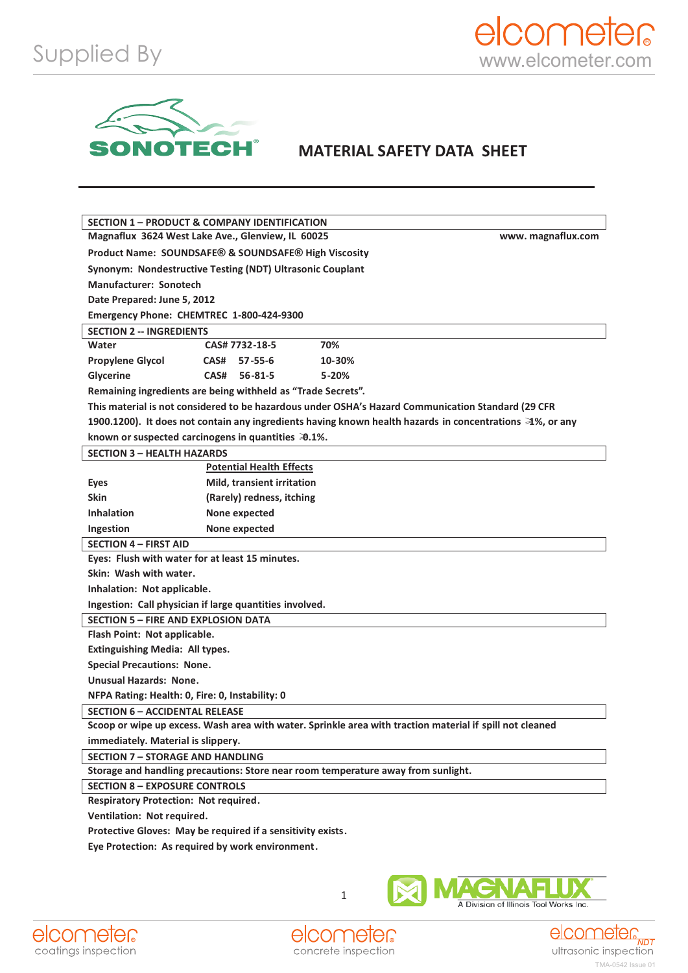

## **MATERIAL SAFETY DATA SHEET**

| <b>SECTION 1 - PRODUCT &amp; COMPANY IDENTIFICATION</b>                                                   |                                 |           |  |
|-----------------------------------------------------------------------------------------------------------|---------------------------------|-----------|--|
| Magnaflux 3624 West Lake Ave., Glenview, IL 60025<br>www.magnaflux.com                                    |                                 |           |  |
| Product Name: SOUNDSAFE® & SOUNDSAFE® High Viscosity                                                      |                                 |           |  |
| Synonym: Nondestructive Testing (NDT) Ultrasonic Couplant                                                 |                                 |           |  |
| <b>Manufacturer: Sonotech</b>                                                                             |                                 |           |  |
| Date Prepared: June 5, 2012                                                                               |                                 |           |  |
| Emergency Phone: CHEMTREC 1-800-424-9300                                                                  |                                 |           |  |
| <b>SECTION 2 -- INGREDIENTS</b>                                                                           |                                 |           |  |
| Water                                                                                                     | CAS# 7732-18-5                  | 70%       |  |
| <b>Propylene Glycol</b>                                                                                   | CAS# 57-55-6                    | 10-30%    |  |
| Glycerine                                                                                                 | CAS#<br>$56 - 81 - 5$           | $5 - 20%$ |  |
| Remaining ingredients are being withheld as "Trade Secrets".                                              |                                 |           |  |
| This material is not considered to be hazardous under OSHA's Hazard Communication Standard (29 CFR        |                                 |           |  |
| 1900.1200). It does not contain any ingredients having known health hazards in concentrations ≥1%, or any |                                 |           |  |
| known or suspected carcinogens in quantities 30.1%.                                                       |                                 |           |  |
| <b>SECTION 3 - HEALTH HAZARDS</b>                                                                         |                                 |           |  |
|                                                                                                           | <b>Potential Health Effects</b> |           |  |
| <b>Eyes</b>                                                                                               | Mild, transient irritation      |           |  |
| <b>Skin</b>                                                                                               | (Rarely) redness, itching       |           |  |
| <b>Inhalation</b>                                                                                         | None expected                   |           |  |
| Ingestion                                                                                                 | None expected                   |           |  |
| <b>SECTION 4 - FIRST AID</b>                                                                              |                                 |           |  |
| Eyes: Flush with water for at least 15 minutes.                                                           |                                 |           |  |
| Skin: Wash with water.                                                                                    |                                 |           |  |
| Inhalation: Not applicable.                                                                               |                                 |           |  |
| Ingestion: Call physician if large quantities involved.                                                   |                                 |           |  |
| <b>SECTION 5 - FIRE AND EXPLOSION DATA</b>                                                                |                                 |           |  |
| Flash Point: Not applicable.                                                                              |                                 |           |  |
| <b>Extinguishing Media: All types.</b>                                                                    |                                 |           |  |
| <b>Special Precautions: None.</b>                                                                         |                                 |           |  |
| Unusual Hazards: None.                                                                                    |                                 |           |  |
| NFPA Rating: Health: 0, Fire: 0, Instability: 0                                                           |                                 |           |  |
| <b>SECTION 6 - ACCIDENTAL RELEASE</b>                                                                     |                                 |           |  |
| Scoop or wipe up excess. Wash area with water. Sprinkle area with traction material if spill not cleaned  |                                 |           |  |
| immediately. Material is slippery.                                                                        |                                 |           |  |
| <b>SECTION 7 - STORAGE AND HANDLING</b>                                                                   |                                 |           |  |
| Storage and handling precautions: Store near room temperature away from sunlight.                         |                                 |           |  |
| <b>SECTION 8 - EXPOSURE CONTROLS</b>                                                                      |                                 |           |  |
| <b>Respiratory Protection: Not required.</b>                                                              |                                 |           |  |
| Ventilation: Not required.                                                                                |                                 |           |  |
| Protective Gloves: May be required if a sensitivity exists.                                               |                                 |           |  |
| Eye Protection: As required by work environment.                                                          |                                 |           |  |
|                                                                                                           |                                 |           |  |





1



A Division of Illinois Tool Works Inc.